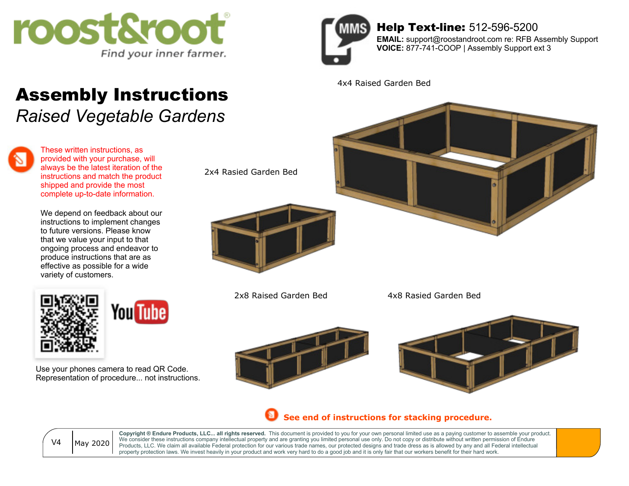

## Assembly Instructions

*Raised Vegetable Gardens*



These written instructions, as provided with your purchase, will always be the latest iteration of the instructions and match the product shipped and provide the most complete up-to-date information.

We depend on feedback about our instructions to implement changes to future versions. Please know that we value your input to that ongoing process and endeavor to produce instructions that are as effective as possible for a wide variety of customers.



Use your phones camera to read QR Code. Representation of procedure... not instructions.



Help Text-line: 512-596-5200 **EMAIL:** support@roostandroot.com re: RFB Assembly Support

4x4 Raised Garden Bed



2x8 Raised Garden Bed

4x8 Rasied Garden Bed





**See end of instructions for stacking procedure.**



**Copyright ® Endure Products, LLC... all rights reserved.** This document is provided to you for your own personal limited use as a paying customer to assemble your product. We consider these instructions company intellectual property and are granting you limited personal use only. Do not copy or distribute without written permission of Endure Products, LLC. We claim all available Federal protection for our various trade names, our protected designs and trade dress as is allowed by any and all Federal intellectual property protection laws. We invest heavily in your product and work very hard to do a good job and it is only fair that our workers benefit for their hard work.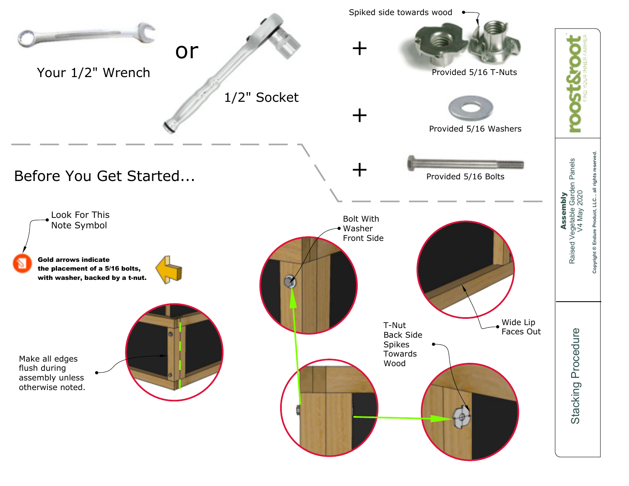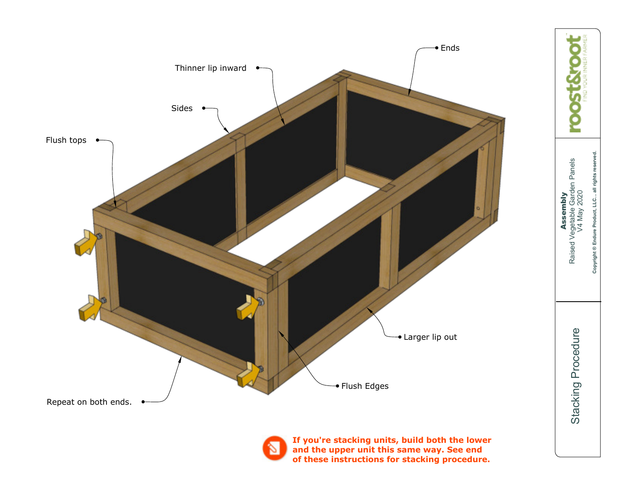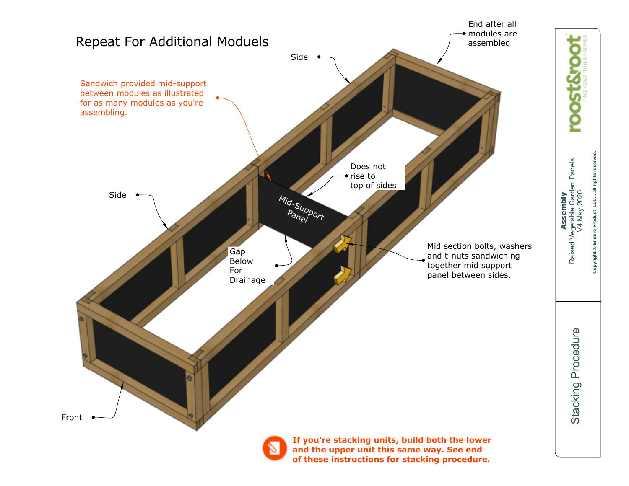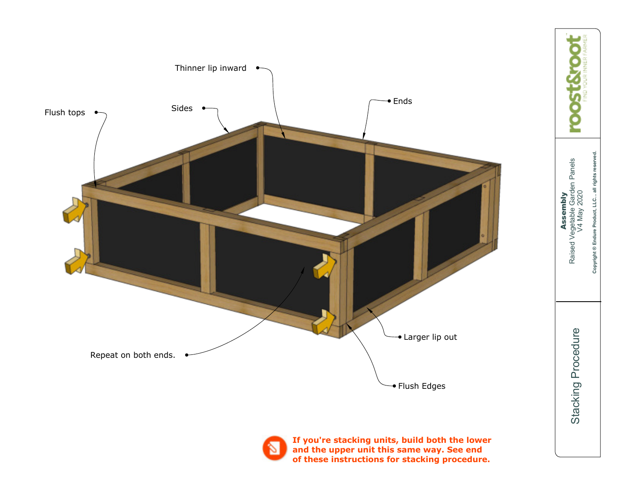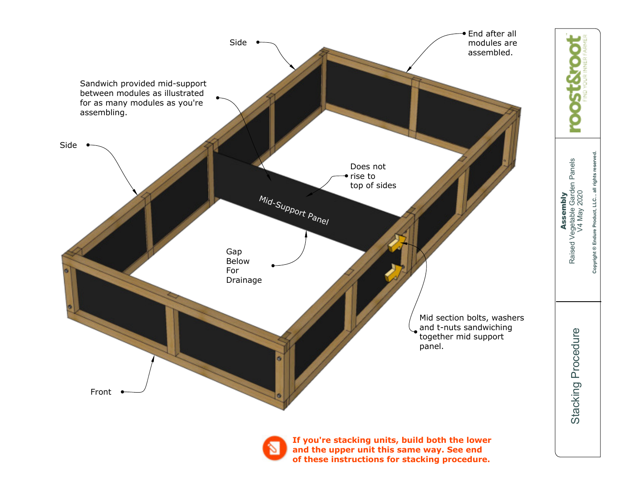

**Copyright ® Endure Product, LLC... all rights reserved.**  Copyright ® Endure Product, LLC... all rights reserved. Raised Vegetable Garden Panels Assembly V4 May 2020

> Stacking Procedure Stacking Procedure